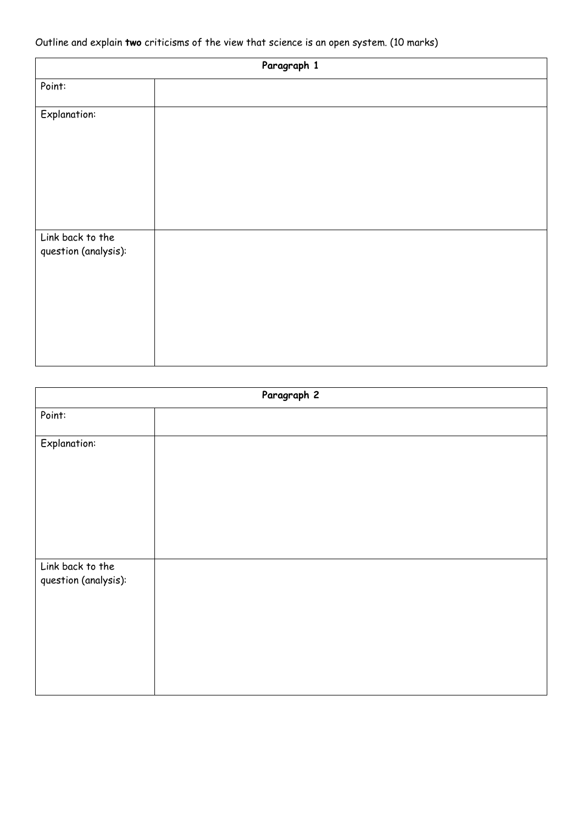## Outline and explain **two** criticisms of the view that science is an open system. (10 marks)

| Paragraph 1                              |  |
|------------------------------------------|--|
| Point:                                   |  |
| <b>Explanation:</b>                      |  |
| Link back to the<br>question (analysis): |  |

| Paragraph 2                              |  |
|------------------------------------------|--|
| Point:                                   |  |
| <b>Explanation:</b>                      |  |
| Link back to the<br>question (analysis): |  |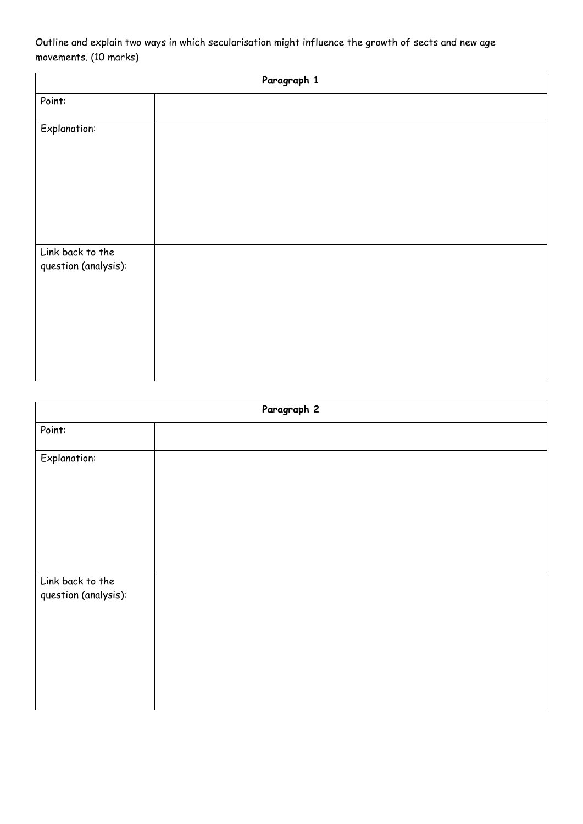Outline and explain two ways in which secularisation might influence the growth of sects and new age movements. (10 marks)

| Paragraph 1                              |  |  |
|------------------------------------------|--|--|
| Point:                                   |  |  |
| <b>Explanation:</b>                      |  |  |
| Link back to the<br>question (analysis): |  |  |

| Paragraph 2                              |  |
|------------------------------------------|--|
| Point:                                   |  |
| <b>Explanation:</b>                      |  |
|                                          |  |
| Link back to the<br>question (analysis): |  |
|                                          |  |
|                                          |  |
|                                          |  |
|                                          |  |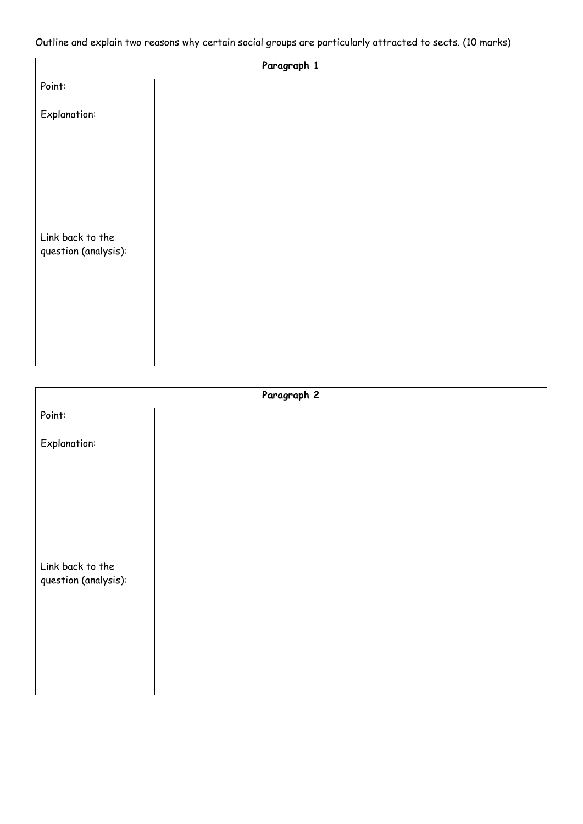Outline and explain two reasons why certain social groups are particularly attracted to sects. (10 marks)

| Paragraph 1                              |  |
|------------------------------------------|--|
| Point:                                   |  |
| <b>Explanation:</b>                      |  |
| Link back to the<br>question (analysis): |  |

| Paragraph 2                              |  |
|------------------------------------------|--|
| Point:                                   |  |
| <b>Explanation:</b>                      |  |
| Link back to the<br>question (analysis): |  |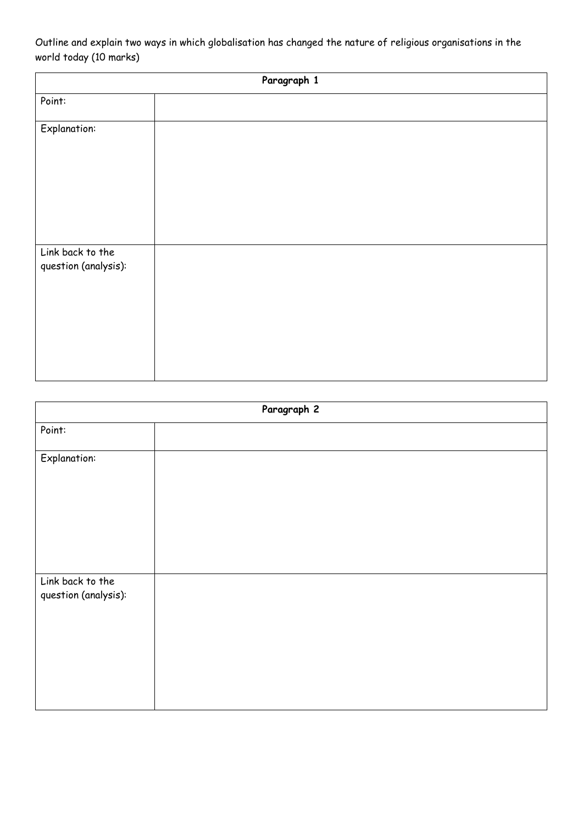Outline and explain two ways in which globalisation has changed the nature of religious organisations in the world today (10 marks)

| Paragraph 1                              |  |
|------------------------------------------|--|
| Point:                                   |  |
| <b>Explanation:</b>                      |  |
| Link back to the<br>question (analysis): |  |

| Paragraph 2                              |  |
|------------------------------------------|--|
| Point:                                   |  |
| <b>Explanation:</b>                      |  |
| Link back to the<br>question (analysis): |  |
|                                          |  |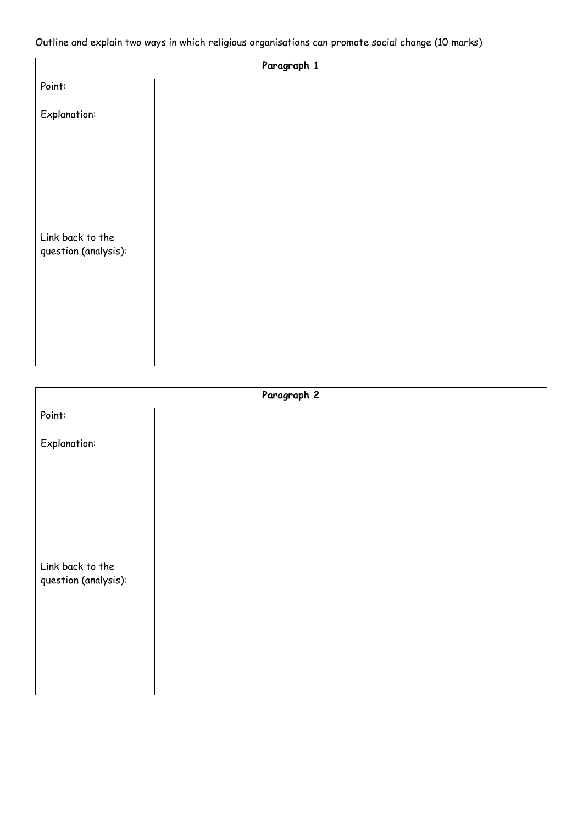Outline and explain two ways in which religious organisations can promote social change (10 marks)

| Paragraph 1                              |  |
|------------------------------------------|--|
| Point:                                   |  |
| <b>Explanation:</b>                      |  |
| Link back to the<br>question (analysis): |  |

| Paragraph 2                              |  |
|------------------------------------------|--|
| Point:                                   |  |
| <b>Explanation:</b>                      |  |
| Link back to the<br>question (analysis): |  |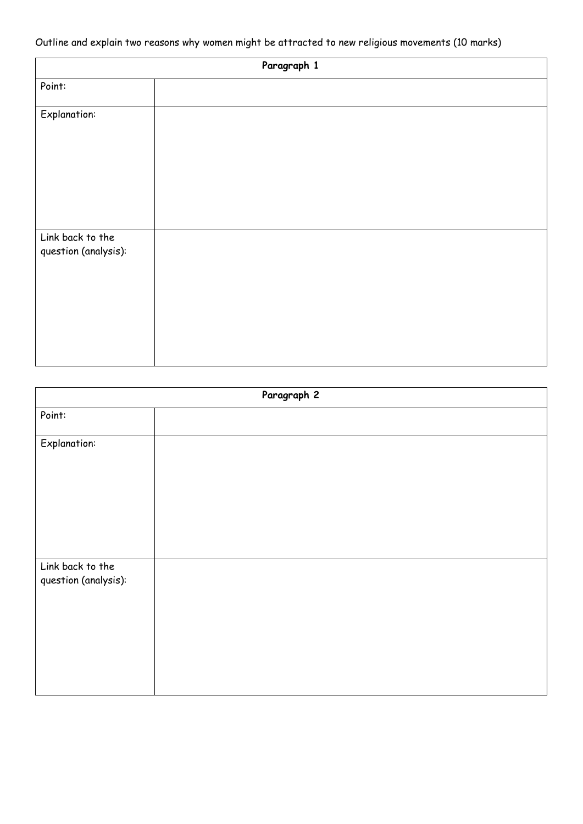Outline and explain two reasons why women might be attracted to new religious movements (10 marks)

| Paragraph 1                              |  |
|------------------------------------------|--|
| Point:                                   |  |
| <b>Explanation:</b>                      |  |
| Link back to the<br>question (analysis): |  |

| Paragraph 2                              |  |
|------------------------------------------|--|
| Point:                                   |  |
| <b>Explanation:</b>                      |  |
| Link back to the<br>question (analysis): |  |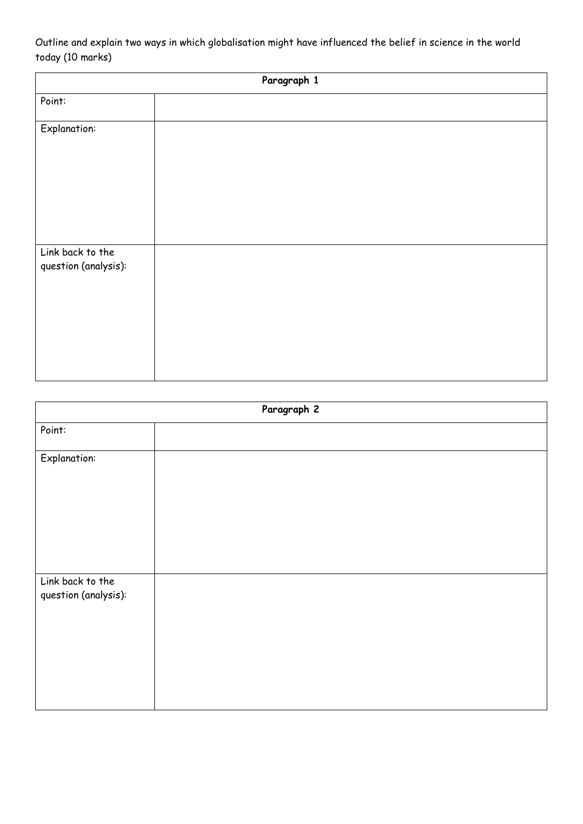Outline and explain two ways in which globalisation might have influenced the belief in science in the world today (10 marks)

| Paragraph 1                              |  |  |
|------------------------------------------|--|--|
| Point:                                   |  |  |
| <b>Explanation:</b>                      |  |  |
| Link back to the<br>question (analysis): |  |  |

| Paragraph 2                              |  |
|------------------------------------------|--|
| Point:                                   |  |
| <b>Explanation:</b>                      |  |
|                                          |  |
|                                          |  |
| Link back to the<br>question (analysis): |  |
|                                          |  |
|                                          |  |
|                                          |  |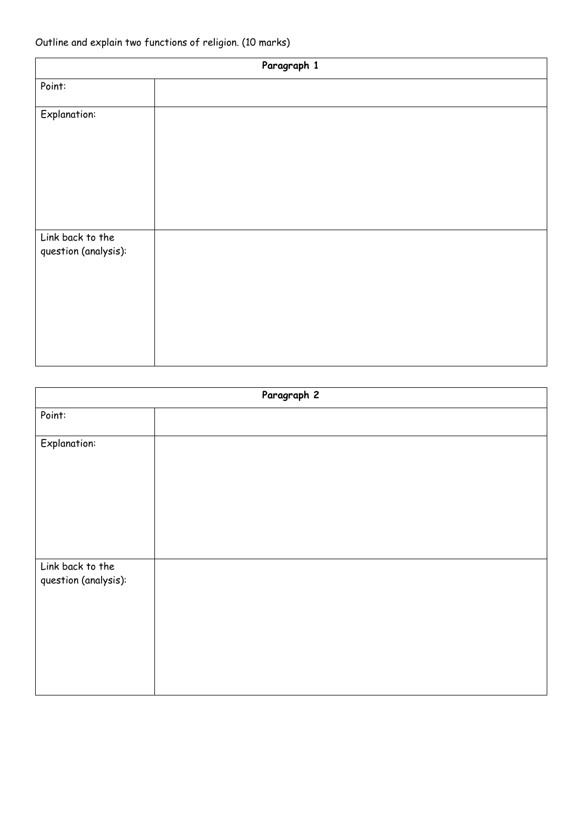| Paragraph 1                              |  |
|------------------------------------------|--|
| Point:                                   |  |
| <b>Explanation:</b>                      |  |
| Link back to the<br>question (analysis): |  |

| Paragraph 2                              |  |
|------------------------------------------|--|
| Point:                                   |  |
| <b>Explanation:</b>                      |  |
| Link back to the<br>question (analysis): |  |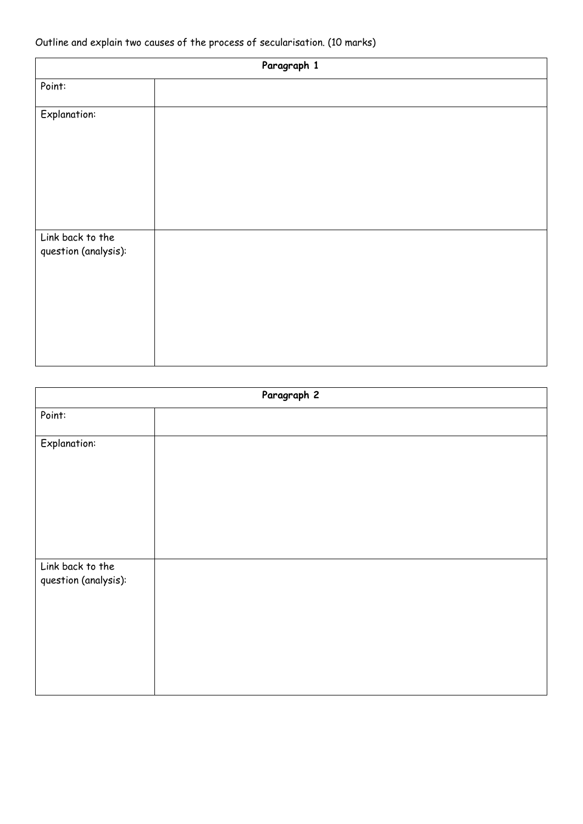## Outline and explain two causes of the process of secularisation. (10 marks)

| Paragraph 1                              |  |
|------------------------------------------|--|
| Point:                                   |  |
| <b>Explanation:</b>                      |  |
| Link back to the<br>question (analysis): |  |

| Paragraph 2                              |  |
|------------------------------------------|--|
| Point:                                   |  |
| <b>Explanation:</b>                      |  |
| Link back to the<br>question (analysis): |  |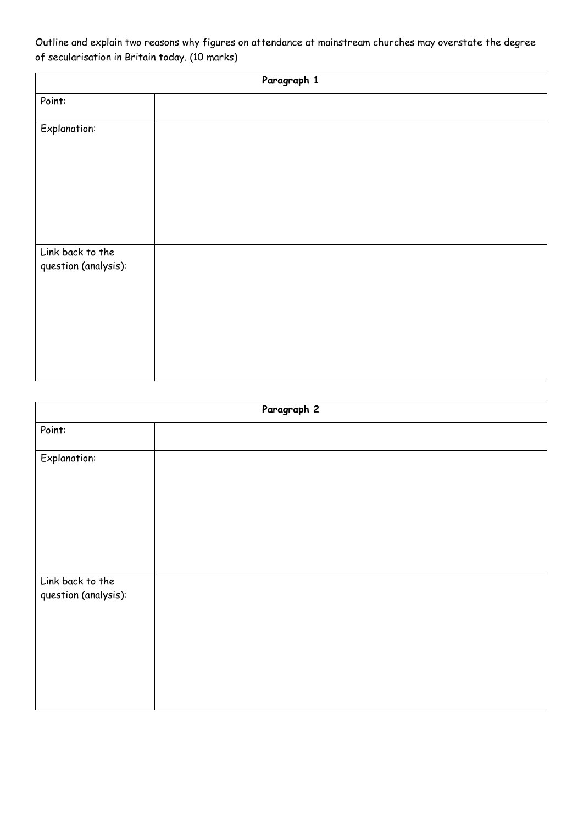Outline and explain two reasons why figures on attendance at mainstream churches may overstate the degree of secularisation in Britain today. (10 marks)

| Paragraph 1                              |  |  |
|------------------------------------------|--|--|
| Point:                                   |  |  |
| <b>Explanation:</b>                      |  |  |
| Link back to the<br>question (analysis): |  |  |

| Paragraph 2                              |  |
|------------------------------------------|--|
| Point:                                   |  |
| <b>Explanation:</b>                      |  |
| Link back to the<br>question (analysis): |  |
|                                          |  |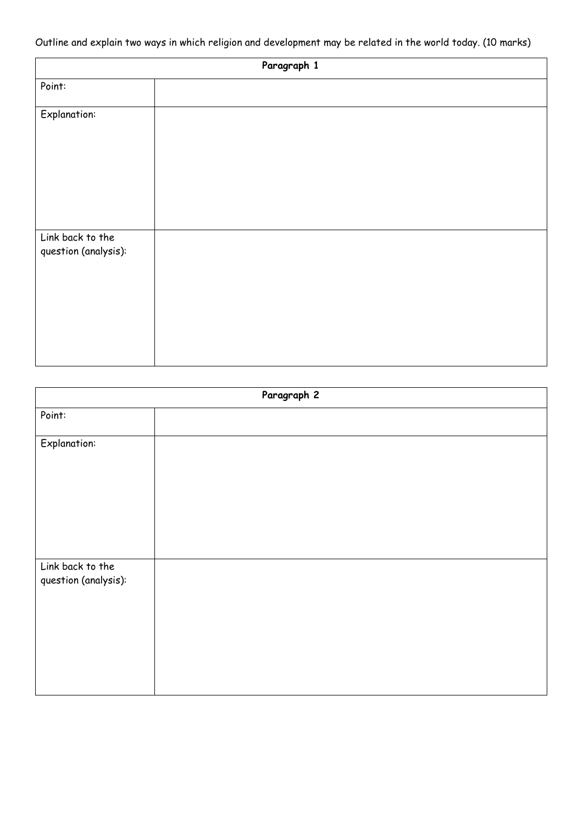Outline and explain two ways in which religion and development may be related in the world today. (10 marks)

| Paragraph 1                              |  |
|------------------------------------------|--|
| Point:                                   |  |
| <b>Explanation:</b>                      |  |
| Link back to the<br>question (analysis): |  |

| Paragraph 2                              |  |
|------------------------------------------|--|
| Point:                                   |  |
| <b>Explanation:</b>                      |  |
| Link back to the<br>question (analysis): |  |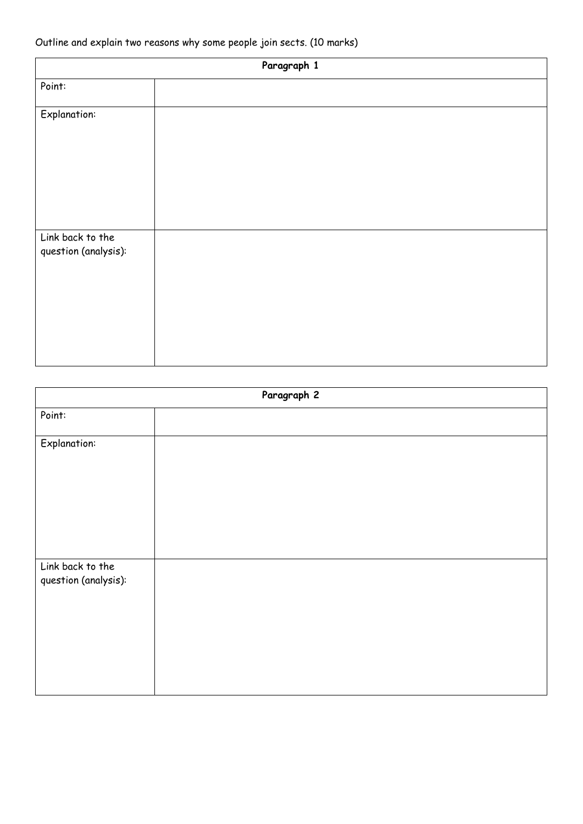## Outline and explain two reasons why some people join sects. (10 marks)

| Paragraph 1                              |  |
|------------------------------------------|--|
| Point:                                   |  |
| <b>Explanation:</b>                      |  |
| Link back to the<br>question (analysis): |  |

| Paragraph 2                              |  |
|------------------------------------------|--|
| Point:                                   |  |
| <b>Explanation:</b>                      |  |
| Link back to the<br>question (analysis): |  |